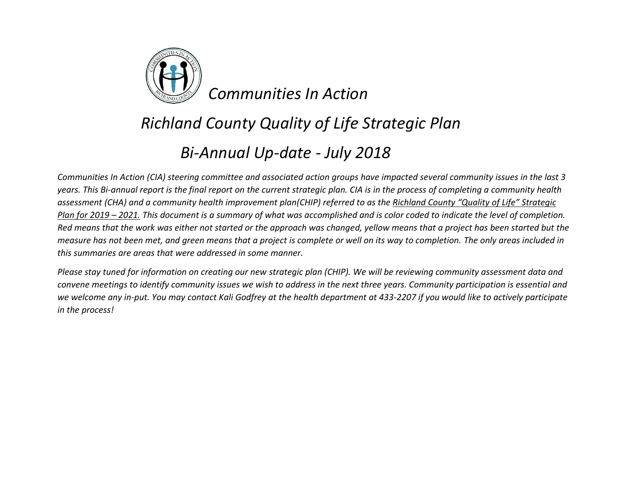

### *Richland County Quality of Life Strategic Plan*

#### *Bi-Annual Up-date - July 2018*

*Communities In Action (CIA) steering committee and associated action groups have impacted several community issues in the last 3 years. This Bi-annual report is the final report on the current strategic plan. CIA is in the process of completing a community health assessment (CHA) and a community health improvement plan(CHIP) referred to as the Richland County "Quality of Life" Strategic Plan for 2019 – 2021. This document is a summary of what was accomplished and is color coded to indicate the level of completion. Red means that the work was either not started or the approach was changed, yellow means that a project has been started but the measure has not been met, and green means that a project is complete or well on its way to completion. The only areas included in this summaries are areas that were addressed in some manner.*

*Please stay tuned for information on creating our new strategic plan (CHIP). We will be reviewing community assessment data and convene meetings to identify community issues we wish to address in the next three years. Community participation is essential and we welcome any in-put. You may contact Kali Godfrey at the health department at 433-2207 if you would like to actively participate in the process!*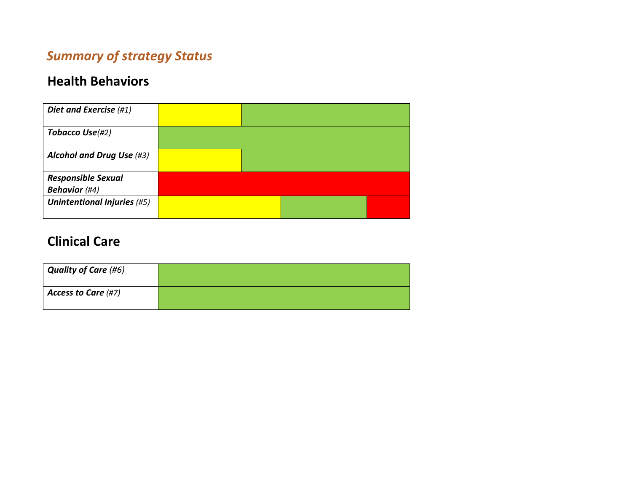#### *Summary of strategy Status*

#### **Health Behaviors**

| Diet and Exercise (#1)             |  |  |
|------------------------------------|--|--|
| Tobacco Use(#2)                    |  |  |
| Alcohol and Drug Use (#3)          |  |  |
| <b>Responsible Sexual</b>          |  |  |
| <b>Behavior</b> (#4)               |  |  |
| <b>Unintentional Injuries (#5)</b> |  |  |

#### **Clinical Care**

| <b>Quality of Care (#6)</b> |  |
|-----------------------------|--|
| Access to Care (#7)         |  |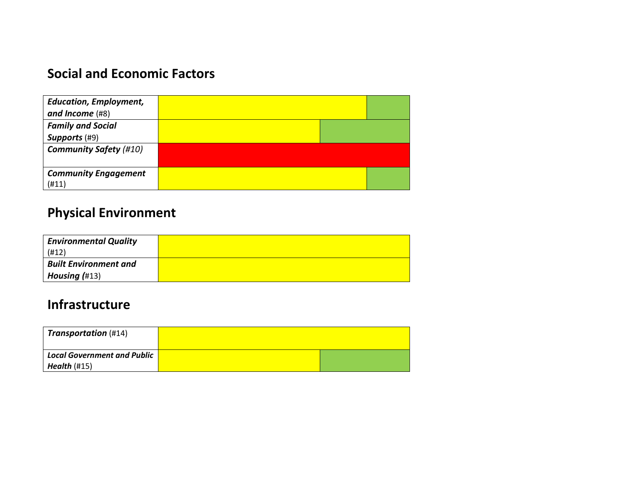#### **Social and Economic Factors**

| <b>Education, Employment,</b> |  |  |
|-------------------------------|--|--|
| and Income $(H8)$             |  |  |
| <b>Family and Social</b>      |  |  |
| Supports (#9)                 |  |  |
| <b>Community Safety (#10)</b> |  |  |
|                               |  |  |
| <b>Community Engagement</b>   |  |  |
| (H11)                         |  |  |

#### **Physical Environment**

| <b>Environmental Quality</b> |  |
|------------------------------|--|
| (H12)                        |  |
| <b>Built Environment and</b> |  |
| Housing $(H13)$              |  |

#### **Infrastructure**

| <b>Transportation</b> (#14)        |  |
|------------------------------------|--|
| <b>Local Government and Public</b> |  |
| Health $(\#15)$                    |  |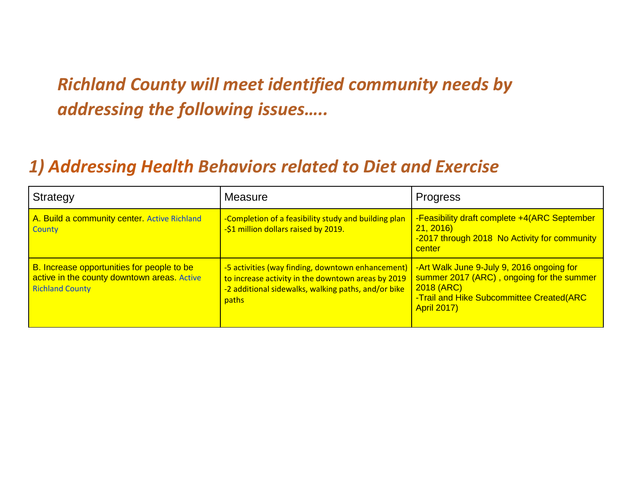## *Richland County will meet identified community needs by addressing the following issues…..*

### *1) Addressing Health Behaviors related to Diet and Exercise*

| Strategy                                                                                                            | Measure                                                                                                                                                                 | <b>Progress</b>                                                                                                                                                        |
|---------------------------------------------------------------------------------------------------------------------|-------------------------------------------------------------------------------------------------------------------------------------------------------------------------|------------------------------------------------------------------------------------------------------------------------------------------------------------------------|
| A. Build a community center. Active Richland<br><b>County</b>                                                       | -Completion of a feasibility study and building plan<br>-\$1 million dollars raised by 2019.                                                                            | -Feasibility draft complete +4(ARC September<br>21, 2016<br>-2017 through 2018 No Activity for community<br>center                                                     |
| B. Increase opportunities for people to be<br>active in the county downtown areas. Active<br><b>Richland County</b> | -5 activities (way finding, downtown enhancement)<br>to increase activity in the downtown areas by 2019<br>-2 additional sidewalks, walking paths, and/or bike<br>paths | -Art Walk June 9-July 9, 2016 ongoing for<br>summer 2017 (ARC), ongoing for the summer<br>2018 (ARC)<br>-Trail and Hike Subcommittee Created(ARC<br><b>April 2017)</b> |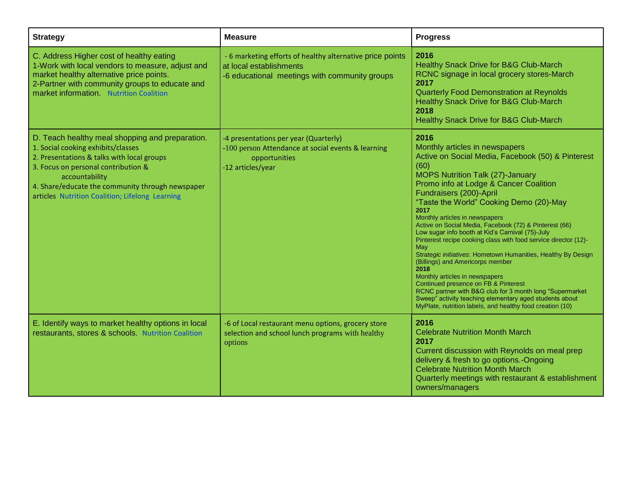| <b>Strategy</b>                                                                                                                                                                                                                                                                                     | <b>Measure</b>                                                                                                                        | <b>Progress</b>                                                                                                                                                                                                                                                                                                                                                                                                                                                                                                                                                                                                                                                                                                                                                                                                                                                             |
|-----------------------------------------------------------------------------------------------------------------------------------------------------------------------------------------------------------------------------------------------------------------------------------------------------|---------------------------------------------------------------------------------------------------------------------------------------|-----------------------------------------------------------------------------------------------------------------------------------------------------------------------------------------------------------------------------------------------------------------------------------------------------------------------------------------------------------------------------------------------------------------------------------------------------------------------------------------------------------------------------------------------------------------------------------------------------------------------------------------------------------------------------------------------------------------------------------------------------------------------------------------------------------------------------------------------------------------------------|
| C. Address Higher cost of healthy eating<br>1-Work with local vendors to measure, adjust and<br>market healthy alternative price points.<br>2-Partner with community groups to educate and<br>market information Nutrition Coalition                                                                | - 6 marketing efforts of healthy alternative price points<br>at local establishments<br>-6 educational meetings with community groups | 2016<br>Healthy Snack Drive for B&G Club-March<br>RCNC signage in local grocery stores-March<br>2017<br><b>Quarterly Food Demonstration at Reynolds</b><br>Healthy Snack Drive for B&G Club-March<br>2018<br>Healthy Snack Drive for B&G Club-March                                                                                                                                                                                                                                                                                                                                                                                                                                                                                                                                                                                                                         |
| D. Teach healthy meal shopping and preparation.<br>1. Social cooking exhibits/classes<br>2. Presentations & talks with local groups<br>3. Focus on personal contribution &<br>accountability<br>4. Share/educate the community through newspaper<br>articles Nutrition Coalition; Lifelong Learning | -4 presentations per year (Quarterly)<br>-100 person Attendance at social events & learning<br>opportunities<br>-12 articles/year     | 2016<br>Monthly articles in newspapers<br>Active on Social Media, Facebook (50) & Pinterest<br>(60)<br><b>MOPS Nutrition Talk (27)-January</b><br>Promo info at Lodge & Cancer Coalition<br>Fundraisers (200)-April<br>"Taste the World" Cooking Demo (20)-May<br>2017<br>Monthly articles in newspapers<br>Active on Social Media, Facebook (72) & Pinterest (66)<br>Low sugar info booth at Kid's Carnival (75)-July<br>Pinterest recipe cooking class with food service director (12)-<br>May<br>Strategic initiatives: Hometown Humanities, Healthy By Design<br>(Billings) and Americorps member<br>2018<br>Monthly articles in newspapers<br>Continued presence on FB & Pinterest<br>RCNC partner with B&G club for 3 month long "Supermarket<br>Sweep" activity teaching elementary aged students about<br>MyPlate, nutrition labels, and healthy food creation (10) |
| E. Identify ways to market healthy options in local<br>restaurants, stores & schools. Nutrition Coalition                                                                                                                                                                                           | -6 of Local restaurant menu options, grocery store<br>selection and school lunch programs with healthy<br>options                     | 2016<br><b>Celebrate Nutrition Month March</b><br>2017<br>Current discussion with Reynolds on meal prep<br>delivery & fresh to go options.-Ongoing<br><b>Celebrate Nutrition Month March</b><br>Quarterly meetings with restaurant & establishment<br>owners/managers                                                                                                                                                                                                                                                                                                                                                                                                                                                                                                                                                                                                       |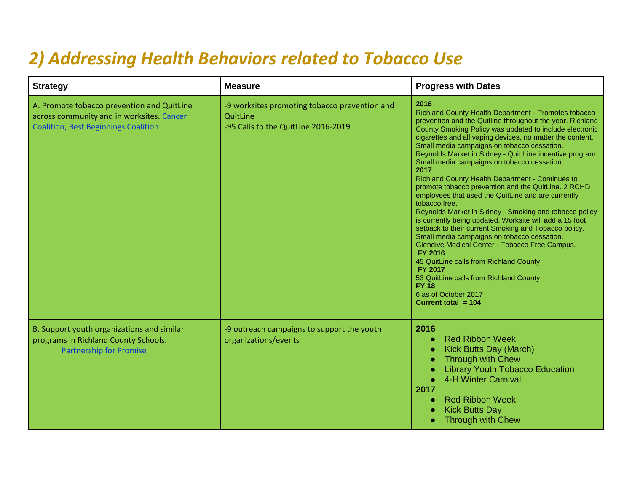### *2) Addressing Health Behaviors related to Tobacco Use*

| <b>Strategy</b>                                                                                                                        | <b>Measure</b>                                                                                   | <b>Progress with Dates</b>                                                                                                                                                                                                                                                                                                                                                                                                                                                                                                                                                                                                                                                                                                                                                                                                                                                                                                                                                                                                                                                   |
|----------------------------------------------------------------------------------------------------------------------------------------|--------------------------------------------------------------------------------------------------|------------------------------------------------------------------------------------------------------------------------------------------------------------------------------------------------------------------------------------------------------------------------------------------------------------------------------------------------------------------------------------------------------------------------------------------------------------------------------------------------------------------------------------------------------------------------------------------------------------------------------------------------------------------------------------------------------------------------------------------------------------------------------------------------------------------------------------------------------------------------------------------------------------------------------------------------------------------------------------------------------------------------------------------------------------------------------|
| A. Promote tobacco prevention and QuitLine<br>across community and in worksites. Cancer<br><b>Coalition; Best Beginnings Coalition</b> | -9 worksites promoting tobacco prevention and<br>QuitLine<br>-95 Calls to the QuitLine 2016-2019 | 2016<br>Richland County Health Department - Promotes tobacco<br>prevention and the Quitline throughout the year. Richland<br>County Smoking Policy was updated to include electronic<br>cigarettes and all vaping devices, no matter the content.<br>Small media campaigns on tobacco cessation.<br>Reynolds Market in Sidney - Quit Line incentive program.<br>Small media campaigns on tobacco cessation.<br>2017<br>Richland County Health Department - Continues to<br>promote tobacco prevention and the QuitLine. 2 RCHD<br>employees that used the QuitLine and are currently<br>tobacco free.<br>Reynolds Market in Sidney - Smoking and tobacco policy<br>is currently being updated. Worksite will add a 15 foot<br>setback to their current Smoking and Tobacco policy.<br>Small media campaigns on tobacco cessation.<br>Glendive Medical Center - Tobacco Free Campus.<br><b>FY 2016</b><br>45 QuitLine calls from Richland County<br><b>FY 2017</b><br>53 QuitLine calls from Richland County<br><b>FY 18</b><br>6 as of October 2017<br>Current total $= 104$ |
| B. Support youth organizations and similar<br>programs in Richland County Schools.<br><b>Partnership for Promise</b>                   | -9 outreach campaigns to support the youth<br>organizations/events                               | 2016<br><b>Red Ribbon Week</b><br>$\bullet$<br>Kick Butts Day (March)<br>$\bullet$<br><b>Through with Chew</b><br>Ċ<br><b>Library Youth Tobacco Education</b><br>4-H Winter Carnival<br>2017<br><b>Red Ribbon Week</b><br>G<br><b>Kick Butts Day</b><br><b>Through with Chew</b>                                                                                                                                                                                                                                                                                                                                                                                                                                                                                                                                                                                                                                                                                                                                                                                             |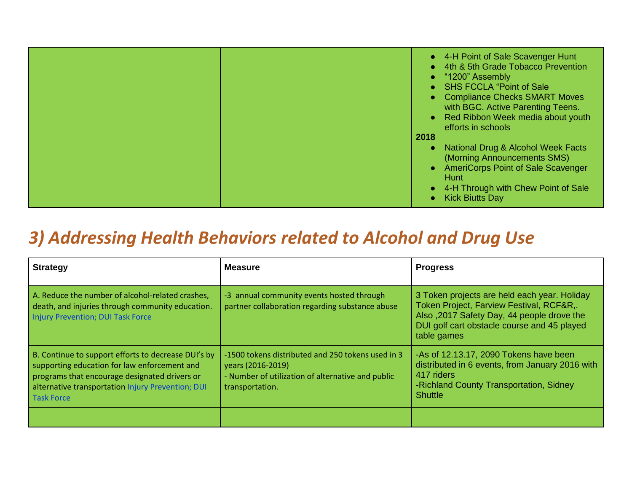| • AmeriCorps Point of Sale Scavenger<br>Hunt<br>4-H Through with Chew Point of Sale<br><b>Kick Biutts Day</b> |
|---------------------------------------------------------------------------------------------------------------|
|---------------------------------------------------------------------------------------------------------------|

### *3) Addressing Health Behaviors related to Alcohol and Drug Use*

| <b>Strategy</b>                                                                                                                                                                                                                | <b>Measure</b>                                                                                                                                 | <b>Progress</b>                                                                                                                                                                                      |
|--------------------------------------------------------------------------------------------------------------------------------------------------------------------------------------------------------------------------------|------------------------------------------------------------------------------------------------------------------------------------------------|------------------------------------------------------------------------------------------------------------------------------------------------------------------------------------------------------|
| A. Reduce the number of alcohol-related crashes,<br>death, and injuries through community education.<br>Injury Prevention; DUI Task Force                                                                                      | -3 annual community events hosted through<br>partner collaboration regarding substance abuse                                                   | 3 Token projects are held each year. Holiday<br>Token Project, Farview Festival, RCF&R,.<br>Also, 2017 Safety Day, 44 people drove the<br>DUI golf cart obstacle course and 45 played<br>table games |
| B. Continue to support efforts to decrease DUI's by<br>supporting education for law enforcement and<br>programs that encourage designated drivers or<br>alternative transportation Injury Prevention; DUI<br><b>Task Force</b> | -1500 tokens distributed and 250 tokens used in 3<br>years (2016-2019)<br>- Number of utilization of alternative and public<br>transportation. | -As of 12.13.17, 2090 Tokens have been<br>distributed in 6 events, from January 2016 with<br>417 riders<br>-Richland County Transportation, Sidney<br><b>Shuttle</b>                                 |
|                                                                                                                                                                                                                                |                                                                                                                                                |                                                                                                                                                                                                      |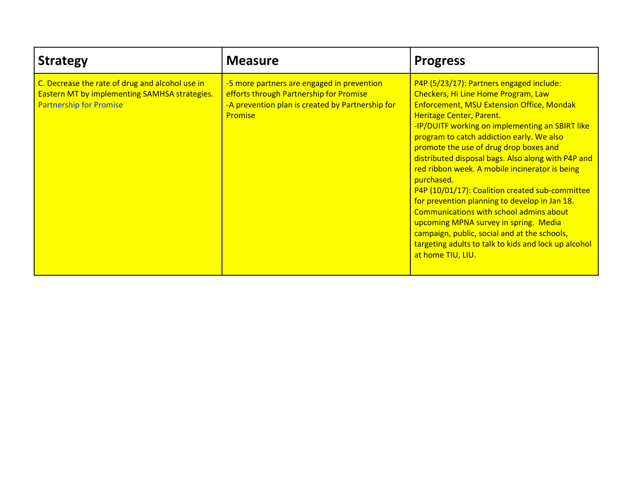| <b>Strategy</b>                                                                                                                    | <b>Measure</b>                                                                                                                                              | <b>Progress</b>                                                                                                                                                                                                                                                                                                                                                                                                                                                                                                                                                                                                                                                                                                                                      |
|------------------------------------------------------------------------------------------------------------------------------------|-------------------------------------------------------------------------------------------------------------------------------------------------------------|------------------------------------------------------------------------------------------------------------------------------------------------------------------------------------------------------------------------------------------------------------------------------------------------------------------------------------------------------------------------------------------------------------------------------------------------------------------------------------------------------------------------------------------------------------------------------------------------------------------------------------------------------------------------------------------------------------------------------------------------------|
| C. Decrease the rate of drug and alcohol use in<br>Eastern MT by implementing SAMHSA strategies.<br><b>Partnership for Promise</b> | -5 more partners are engaged in prevention<br>efforts through Partnership for Promise<br>-A prevention plan is created by Partnership for<br><b>Promise</b> | P4P (5/23/17): Partners engaged include:<br>Checkers, Hi Line Home Program, Law<br><b>Enforcement, MSU Extension Office, Mondak</b><br>Heritage Center, Parent.<br>-IP/DUITF working on implementing an SBIRT like<br>program to catch addiction early. We also<br>promote the use of drug drop boxes and<br>distributed disposal bags. Also along with P4P and<br>red ribbon week. A mobile incinerator is being<br>purchased.<br>P4P (10/01/17): Coalition created sub-committee<br>for prevention planning to develop in Jan 18.<br>Communications with school admins about<br>upcoming MPNA survey in spring. Media<br>campaign, public, social and at the schools,<br>targeting adults to talk to kids and lock up alcohol<br>at home TIU, LIU. |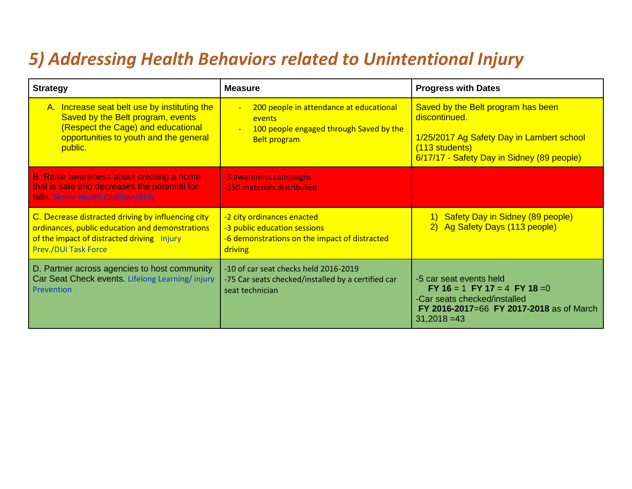### *5) Addressing Health Behaviors related to Unintentional Injury*

| <b>Strategy</b>                                                                                                                                                                    | <b>Measure</b>                                                                                                           | <b>Progress with Dates</b>                                                                                                                                       |
|------------------------------------------------------------------------------------------------------------------------------------------------------------------------------------|--------------------------------------------------------------------------------------------------------------------------|------------------------------------------------------------------------------------------------------------------------------------------------------------------|
| A. Increase seat belt use by instituting the<br>Saved by the Belt program, events<br>(Respect the Cage) and educational<br>opportunities to youth and the general<br>public.       | 200 people in attendance at educational<br>Ξ<br>events<br>100 people engaged through Saved by the<br><b>Belt program</b> | Saved by the Belt program has been<br>discontinued.<br>1/25/2017 Ag Safety Day in Lambert school<br>(113 students)<br>6/17/17 - Safety Day in Sidney (89 people) |
| B. Raise awareness about creating a home<br>that is safe and decreases the potential for<br>falls. Senior Health Coalition/RHN                                                     | -3 awareness campaigns<br>-150 materials distributed                                                                     |                                                                                                                                                                  |
| C. Decrease distracted driving by influencing city<br>ordinances, public education and demonstrations<br>of the impact of distracted driving Injury<br><b>Prev./DUI Task Force</b> | -2 city ordinances enacted<br>-3 public education sessions<br>-6 demonstrations on the impact of distracted<br>driving   | 1) Safety Day in Sidney (89 people)<br>2) Ag Safety Days (113 people)                                                                                            |
| D. Partner across agencies to host community<br>Car Seat Check events. Lifelong Learning/injury<br>Prevention                                                                      | -10 of car seat checks held 2016-2019<br>-75 Car seats checked/installed by a certified car<br>seat technician           | -5 car seat events held<br>FY 16 = 1 FY 17 = 4 FY 18 = 0<br>-Car seats checked/installed<br>FY 2016-2017=66 FY 2017-2018 as of March<br>$31,2018 = 43$           |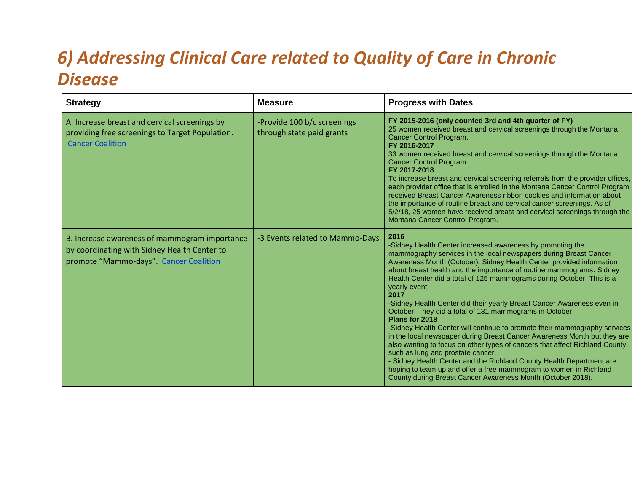## *6) Addressing Clinical Care related to Quality of Care in Chronic Disease*

| <b>Strategy</b>                                                                                                                         | <b>Measure</b>                                           | <b>Progress with Dates</b>                                                                                                                                                                                                                                                                                                                                                                                                                                                                                                                                                                                                                                                                                                                                                                                                                                                                                                                                                                                                                 |
|-----------------------------------------------------------------------------------------------------------------------------------------|----------------------------------------------------------|--------------------------------------------------------------------------------------------------------------------------------------------------------------------------------------------------------------------------------------------------------------------------------------------------------------------------------------------------------------------------------------------------------------------------------------------------------------------------------------------------------------------------------------------------------------------------------------------------------------------------------------------------------------------------------------------------------------------------------------------------------------------------------------------------------------------------------------------------------------------------------------------------------------------------------------------------------------------------------------------------------------------------------------------|
| A. Increase breast and cervical screenings by<br>providing free screenings to Target Population.<br><b>Cancer Coalition</b>             | -Provide 100 b/c screenings<br>through state paid grants | FY 2015-2016 (only counted 3rd and 4th quarter of FY)<br>25 women received breast and cervical screenings through the Montana<br>Cancer Control Program.<br>FY 2016-2017<br>33 women received breast and cervical screenings through the Montana<br>Cancer Control Program.<br>FY 2017-2018<br>To increase breast and cervical screening referrals from the provider offices,<br>each provider office that is enrolled in the Montana Cancer Control Program<br>received Breast Cancer Awareness ribbon cookies and information about<br>the importance of routine breast and cervical cancer screenings. As of<br>5/2/18, 25 women have received breast and cervical screenings through the<br>Montana Cancer Control Program.                                                                                                                                                                                                                                                                                                            |
| B. Increase awareness of mammogram importance<br>by coordinating with Sidney Health Center to<br>promote "Mammo-days". Cancer Coalition | -3 Events related to Mammo-Days                          | 2016<br>-Sidney Health Center increased awareness by promoting the<br>mammography services in the local newspapers during Breast Cancer<br>Awareness Month (October). Sidney Health Center provided information<br>about breast health and the importance of routine mammograms. Sidney<br>Health Center did a total of 125 mammograms during October. This is a<br>yearly event.<br>2017<br>-Sidney Health Center did their yearly Breast Cancer Awareness even in<br>October. They did a total of 131 mammograms in October.<br>Plans for 2018<br>-Sidney Health Center will continue to promote their mammography services<br>in the local newspaper during Breast Cancer Awareness Month but they are<br>also wanting to focus on other types of cancers that affect Richland County,<br>such as lung and prostate cancer.<br>- Sidney Health Center and the Richland County Health Department are<br>hoping to team up and offer a free mammogram to women in Richland<br>County during Breast Cancer Awareness Month (October 2018). |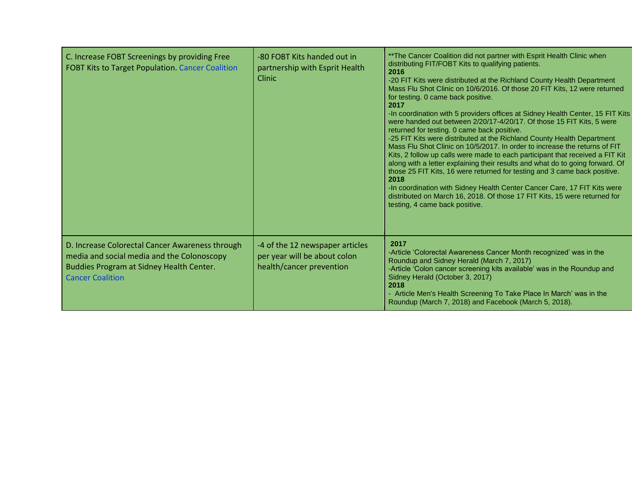| C. Increase FOBT Screenings by providing Free<br><b>FOBT Kits to Target Population. Cancer Coalition</b>                                                             | -80 FOBT Kits handed out in<br>partnership with Esprit Health<br>Clinic                     | ** The Cancer Coalition did not partner with Esprit Health Clinic when<br>distributing FIT/FOBT Kits to qualifying patients.<br>2016<br>-20 FIT Kits were distributed at the Richland County Health Department<br>Mass Flu Shot Clinic on 10/6/2016. Of those 20 FIT Kits, 12 were returned<br>for testing. 0 came back positive.<br>2017<br>-In coordination with 5 providers offices at Sidney Health Center, 15 FIT Kits<br>were handed out between 2/20/17-4/20/17. Of those 15 FIT Kits, 5 were<br>returned for testing. 0 came back positive.<br>-25 FIT Kits were distributed at the Richland County Health Department<br>Mass Flu Shot Clinic on 10/5/2017. In order to increase the returns of FIT<br>Kits, 2 follow up calls were made to each participant that received a FIT Kit<br>along with a letter explaining their results and what do to going forward. Of<br>those 25 FIT Kits, 16 were returned for testing and 3 came back positive.<br>2018<br>-In coordination with Sidney Health Center Cancer Care, 17 FIT Kits were<br>distributed on March 16, 2018. Of those 17 FIT Kits, 15 were returned for<br>testing, 4 came back positive. |
|----------------------------------------------------------------------------------------------------------------------------------------------------------------------|---------------------------------------------------------------------------------------------|---------------------------------------------------------------------------------------------------------------------------------------------------------------------------------------------------------------------------------------------------------------------------------------------------------------------------------------------------------------------------------------------------------------------------------------------------------------------------------------------------------------------------------------------------------------------------------------------------------------------------------------------------------------------------------------------------------------------------------------------------------------------------------------------------------------------------------------------------------------------------------------------------------------------------------------------------------------------------------------------------------------------------------------------------------------------------------------------------------------------------------------------------------------|
| D. Increase Colorectal Cancer Awareness through<br>media and social media and the Colonoscopy<br>Buddies Program at Sidney Health Center.<br><b>Cancer Coalition</b> | -4 of the 12 newspaper articles<br>per year will be about colon<br>health/cancer prevention | 2017<br>-Article 'Colorectal Awareness Cancer Month recognized' was in the<br>Roundup and Sidney Herald (March 7, 2017)<br>-Article 'Colon cancer screening kits available' was in the Roundup and<br>Sidney Herald (October 3, 2017)<br>2018<br>- Article Men's Health Screening To Take Place In March' was in the<br>Roundup (March 7, 2018) and Facebook (March 5, 2018).                                                                                                                                                                                                                                                                                                                                                                                                                                                                                                                                                                                                                                                                                                                                                                                 |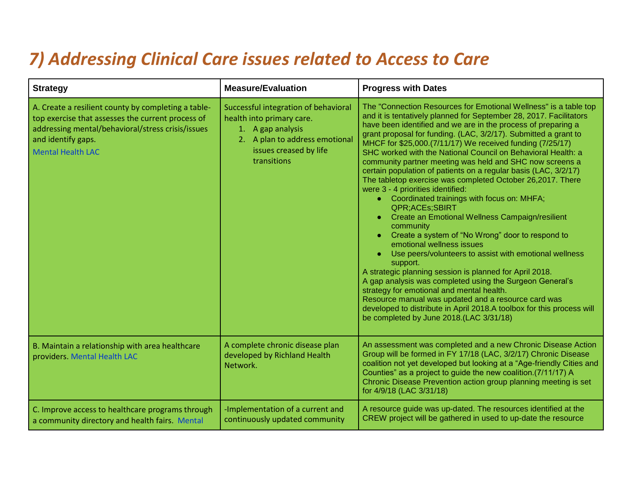### *7) Addressing Clinical Care issues related to Access to Care*

| <b>Strategy</b>                                                                                                                                                                                                 | <b>Measure/Evaluation</b>                                                                                                                                         | <b>Progress with Dates</b>                                                                                                                                                                                                                                                                                                                                                                                                                                                                                                                                                                                                                                                                                                                                                                                                                                                                                                                                                                                                                                                                                                                                                                                                                                                                     |
|-----------------------------------------------------------------------------------------------------------------------------------------------------------------------------------------------------------------|-------------------------------------------------------------------------------------------------------------------------------------------------------------------|------------------------------------------------------------------------------------------------------------------------------------------------------------------------------------------------------------------------------------------------------------------------------------------------------------------------------------------------------------------------------------------------------------------------------------------------------------------------------------------------------------------------------------------------------------------------------------------------------------------------------------------------------------------------------------------------------------------------------------------------------------------------------------------------------------------------------------------------------------------------------------------------------------------------------------------------------------------------------------------------------------------------------------------------------------------------------------------------------------------------------------------------------------------------------------------------------------------------------------------------------------------------------------------------|
| A. Create a resilient county by completing a table-<br>top exercise that assesses the current process of<br>addressing mental/behavioral/stress crisis/issues<br>and identify gaps.<br><b>Mental Health LAC</b> | Successful integration of behavioral<br>health into primary care.<br>1. A gap analysis<br>2. A plan to address emotional<br>issues creased by life<br>transitions | The "Connection Resources for Emotional Wellness" is a table top<br>and it is tentatively planned for September 28, 2017. Facilitators<br>have been identified and we are in the process of preparing a<br>grant proposal for funding. (LAC, 3/2/17). Submitted a grant to<br>MHCF for \$25,000.(7/11/17) We received funding (7/25/17)<br>SHC worked with the National Council on Behavioral Health: a<br>community partner meeting was held and SHC now screens a<br>certain population of patients on a regular basis (LAC, 3/2/17)<br>The tabletop exercise was completed October 26,2017. There<br>were 3 - 4 priorities identified:<br>• Coordinated trainings with focus on: MHFA;<br>QPR;ACEs;SBIRT<br>Create an Emotional Wellness Campaign/resilient<br>$\bullet$<br>community<br>Create a system of "No Wrong" door to respond to<br>emotional wellness issues<br>Use peers/volunteers to assist with emotional wellness<br>support.<br>A strategic planning session is planned for April 2018.<br>A gap analysis was completed using the Surgeon General's<br>strategy for emotional and mental health.<br>Resource manual was updated and a resource card was<br>developed to distribute in April 2018.A toolbox for this process will<br>be completed by June 2018.(LAC 3/31/18) |
| B. Maintain a relationship with area healthcare<br>providers. Mental Health LAC                                                                                                                                 | A complete chronic disease plan<br>developed by Richland Health<br>Network.                                                                                       | An assessment was completed and a new Chronic Disease Action<br>Group will be formed in FY 17/18 (LAC, 3/2/17) Chronic Disease<br>coalition not yet developed but looking at a "Age-friendly Cities and<br>Counties" as a project to guide the new coalition.(7/11/17) A<br>Chronic Disease Prevention action group planning meeting is set<br>for 4/9/18 (LAC 3/31/18)                                                                                                                                                                                                                                                                                                                                                                                                                                                                                                                                                                                                                                                                                                                                                                                                                                                                                                                        |
| C. Improve access to healthcare programs through<br>a community directory and health fairs. Mental                                                                                                              | -Implementation of a current and<br>continuously updated community                                                                                                | A resource guide was up-dated. The resources identified at the<br>CREW project will be gathered in used to up-date the resource                                                                                                                                                                                                                                                                                                                                                                                                                                                                                                                                                                                                                                                                                                                                                                                                                                                                                                                                                                                                                                                                                                                                                                |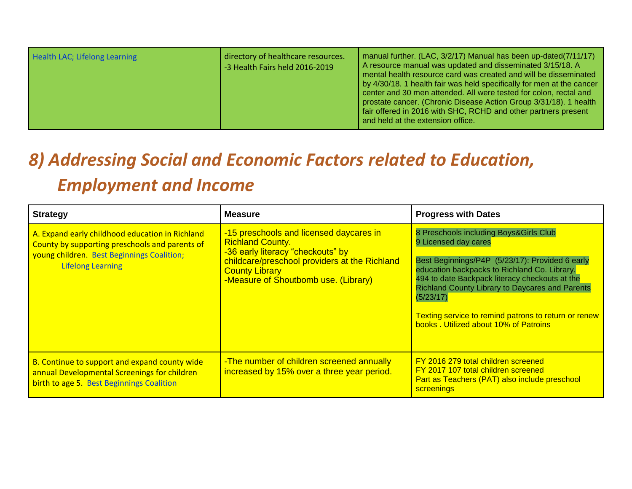| Health LAC; Lifelong Learning | directory of healthcare resources.<br>-3 Health Fairs held 2016-2019 | manual further. (LAC, 3/2/17) Manual has been up-dated(7/11/17)<br>A resource manual was updated and disseminated 3/15/18. A<br>mental health resource card was created and will be disseminated<br>by 4/30/18. 1 health fair was held specifically for men at the cancer<br>center and 30 men attended. All were tested for colon, rectal and<br>prostate cancer. (Chronic Disease Action Group 3/31/18). 1 health<br>fair offered in 2016 with SHC, RCHD and other partners present<br>and held at the extension office. |
|-------------------------------|----------------------------------------------------------------------|----------------------------------------------------------------------------------------------------------------------------------------------------------------------------------------------------------------------------------------------------------------------------------------------------------------------------------------------------------------------------------------------------------------------------------------------------------------------------------------------------------------------------|
|-------------------------------|----------------------------------------------------------------------|----------------------------------------------------------------------------------------------------------------------------------------------------------------------------------------------------------------------------------------------------------------------------------------------------------------------------------------------------------------------------------------------------------------------------------------------------------------------------------------------------------------------------|

## *8) Addressing Social and Economic Factors related to Education, Employment and Income*

| <b>Strategy</b>                                                                                                                                                             | <b>Measure</b>                                                                                                                                                                                                            | <b>Progress with Dates</b>                                                                                                                                                                                                                                                                                                                                                                  |
|-----------------------------------------------------------------------------------------------------------------------------------------------------------------------------|---------------------------------------------------------------------------------------------------------------------------------------------------------------------------------------------------------------------------|---------------------------------------------------------------------------------------------------------------------------------------------------------------------------------------------------------------------------------------------------------------------------------------------------------------------------------------------------------------------------------------------|
| A. Expand early childhood education in Richland<br>County by supporting preschools and parents of<br>young children. Best Beginnings Coalition;<br><b>Lifelong Learning</b> | -15 preschools and licensed daycares in<br><b>Richland County.</b><br>-36 early literacy "checkouts" by<br>childcare/preschool providers at the Richland<br><b>County Library</b><br>-Measure of Shoutbomb use. (Library) | 8 Preschools including Boys&Girls Club<br>9 Licensed day cares<br>Best Beginnings/P4P (5/23/17): Provided 6 early<br>education backpacks to Richland Co. Library.<br>494 to date Backpack literacy checkouts at the<br><b>Richland County Library to Daycares and Parents</b><br>(5/23/17)<br>Texting service to remind patrons to return or renew<br>books, Utilized about 10% of Patroins |
| B. Continue to support and expand county wide<br>annual Developmental Screenings for children<br>birth to age 5. Best Beginnings Coalition                                  | -The number of children screened annually<br>increased by 15% over a three year period.                                                                                                                                   | FY 2016 279 total children screened<br>FY 2017 107 total children screened<br>Part as Teachers (PAT) also include preschool<br>screenings                                                                                                                                                                                                                                                   |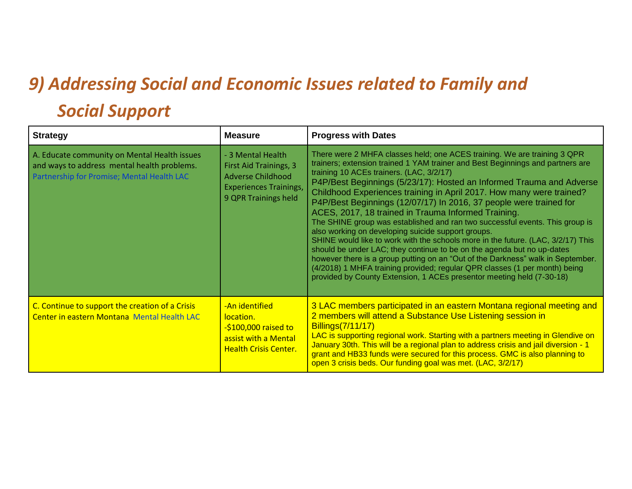## *9) Addressing Social and Economic Issues related to Family and Social Support*

| <b>Strategy</b>                                                                                                                           | <b>Measure</b>                                                                                                                          | <b>Progress with Dates</b>                                                                                                                                                                                                                                                                                                                                                                                                                                                                                                                                                                                                                                                                                                                                                                                                                                                                                                                                                                                                        |
|-------------------------------------------------------------------------------------------------------------------------------------------|-----------------------------------------------------------------------------------------------------------------------------------------|-----------------------------------------------------------------------------------------------------------------------------------------------------------------------------------------------------------------------------------------------------------------------------------------------------------------------------------------------------------------------------------------------------------------------------------------------------------------------------------------------------------------------------------------------------------------------------------------------------------------------------------------------------------------------------------------------------------------------------------------------------------------------------------------------------------------------------------------------------------------------------------------------------------------------------------------------------------------------------------------------------------------------------------|
| A. Educate community on Mental Health issues<br>and ways to address mental health problems.<br>Partnership for Promise; Mental Health LAC | - 3 Mental Health<br><b>First Aid Trainings, 3</b><br><b>Adverse Childhood</b><br><b>Experiences Trainings,</b><br>9 QPR Trainings held | There were 2 MHFA classes held; one ACES training. We are training 3 QPR<br>trainers; extension trained 1 YAM trainer and Best Beginnings and partners are<br>training 10 ACEs trainers. (LAC, 3/2/17)<br>P4P/Best Beginnings (5/23/17): Hosted an Informed Trauma and Adverse<br>Childhood Experiences training in April 2017. How many were trained?<br>P4P/Best Beginnings (12/07/17) In 2016, 37 people were trained for<br>ACES, 2017, 18 trained in Trauma Informed Training.<br>The SHINE group was established and ran two successful events. This group is<br>also working on developing suicide support groups.<br>SHINE would like to work with the schools more in the future. (LAC, 3/2/17) This<br>should be under LAC; they continue to be on the agenda but no up-dates<br>however there is a group putting on an "Out of the Darkness" walk in September.<br>(4/2018) 1 MHFA training provided; regular QPR classes (1 per month) being<br>provided by County Extension, 1 ACEs presentor meeting held (7-30-18) |
| C. Continue to support the creation of a Crisis<br>Center in eastern Montana Mental Health LAC                                            | -An identified<br>location.<br>$-$ \$100,000 raised to<br>assist with a Mental<br><b>Health Crisis Center.</b>                          | 3 LAC members participated in an eastern Montana regional meeting and<br>2 members will attend a Substance Use Listening session in<br>Billings(7/11/17)<br>LAC is supporting regional work. Starting with a partners meeting in Glendive on<br>January 30th. This will be a regional plan to address crisis and jail diversion - 1<br>grant and HB33 funds were secured for this process. GMC is also planning to<br>open 3 crisis beds. Our funding goal was met. (LAC, 3/2/17)                                                                                                                                                                                                                                                                                                                                                                                                                                                                                                                                                 |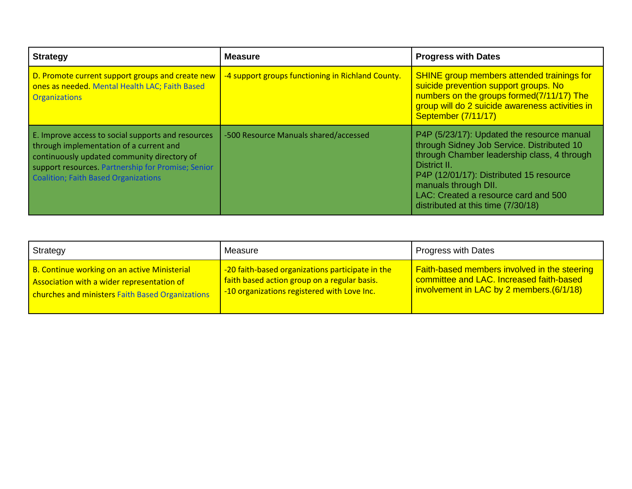| <b>Strategy</b>                                                                                                                                                                                                                            | <b>Measure</b>                                    | <b>Progress with Dates</b>                                                                                                                                                                                                                                                                               |
|--------------------------------------------------------------------------------------------------------------------------------------------------------------------------------------------------------------------------------------------|---------------------------------------------------|----------------------------------------------------------------------------------------------------------------------------------------------------------------------------------------------------------------------------------------------------------------------------------------------------------|
| D. Promote current support groups and create new<br>ones as needed. Mental Health LAC; Faith Based<br><b>Organizations</b>                                                                                                                 | -4 support groups functioning in Richland County. | <b>SHINE</b> group members attended trainings for<br>suicide prevention support groups. No<br>numbers on the groups formed(7/11/17) The<br>group will do 2 suicide awareness activities in<br>September (7/11/17)                                                                                        |
| E. Improve access to social supports and resources<br>through implementation of a current and<br>continuously updated community directory of<br>support resources. Partnership for Promise; Senior<br>Coalition; Faith Based Organizations | -500 Resource Manuals shared/accessed             | P4P (5/23/17): Updated the resource manual<br>through Sidney Job Service. Distributed 10<br>through Chamber leadership class, 4 through<br>District II.<br>P4P (12/01/17): Distributed 15 resource<br>manuals through DII.<br>LAC: Created a resource card and 500<br>distributed at this time (7/30/18) |

| Strategy                                         | Measure                                          | <b>Progress with Dates</b>                          |
|--------------------------------------------------|--------------------------------------------------|-----------------------------------------------------|
| B. Continue working on an active Ministerial     | -20 faith-based organizations participate in the | <b>Faith-based members involved in the steering</b> |
| Association with a wider representation of       | faith based action group on a regular basis.     | committee and LAC. Increased faith-based            |
| churches and ministers Faith Based Organizations | -10 organizations registered with Love Inc.      | involvement in LAC by 2 members.(6/1/18)            |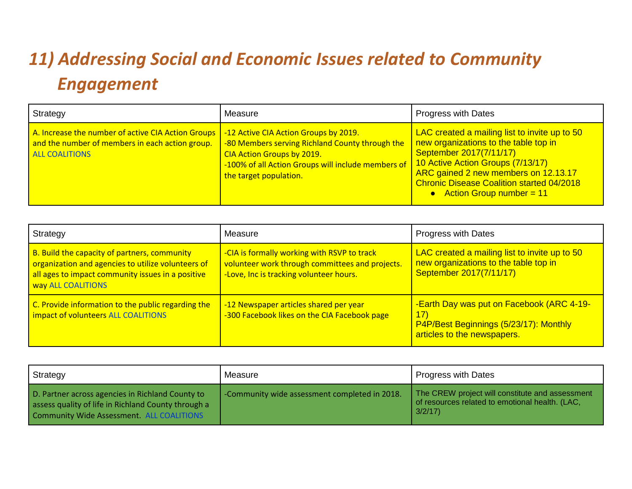# *11) Addressing Social and Economic Issues related to Community Engagement*

| Strategy                                                                                                                       | Measure                                                                                                                                                                                                | Progress with Dates                                                                                                                                                                                                                                                                |
|--------------------------------------------------------------------------------------------------------------------------------|--------------------------------------------------------------------------------------------------------------------------------------------------------------------------------------------------------|------------------------------------------------------------------------------------------------------------------------------------------------------------------------------------------------------------------------------------------------------------------------------------|
| A. Increase the number of active CIA Action Groups<br>and the number of members in each action group.<br><b>ALL COALITIONS</b> | -12 Active CIA Action Groups by 2019.<br>-80 Members serving Richland County through the<br>CIA Action Groups by 2019.<br>-100% of all Action Groups will include members of<br>the target population. | LAC created a mailing list to invite up to 50<br>new organizations to the table top in<br>September 2017(7/11/17)<br>10 Active Action Groups (7/13/17)<br>ARC gained 2 new members on 12.13.17<br><b>Chronic Disease Coalition started 04/2018</b><br>• Action Group number = $11$ |

| Strategy                                                                                                                                                                      | Measure                                                                                                                                   | <b>Progress with Dates</b>                                                                                                 |
|-------------------------------------------------------------------------------------------------------------------------------------------------------------------------------|-------------------------------------------------------------------------------------------------------------------------------------------|----------------------------------------------------------------------------------------------------------------------------|
| B. Build the capacity of partners, community<br>organization and agencies to utilize volunteers of<br>all ages to impact community issues in a positive<br>way ALL COALITIONS | -CIA is formally working with RSVP to track<br>volunteer work through committees and projects.<br>-Love, Inc is tracking volunteer hours. | LAC created a mailing list to invite up to 50<br>new organizations to the table top in<br>September 2017(7/11/17)          |
| C. Provide information to the public regarding the<br>impact of volunteers ALL COALITIONS                                                                                     | -12 Newspaper articles shared per year<br>-300 Facebook likes on the CIA Facebook page                                                    | -Earth Day was put on Facebook (ARC 4-19-<br>(17)<br>P4P/Best Beginnings (5/23/17): Monthly<br>articles to the newspapers. |

| Strategy                                                                                                                                             | Measure                                       | <b>Progress with Dates</b>                                                                                   |
|------------------------------------------------------------------------------------------------------------------------------------------------------|-----------------------------------------------|--------------------------------------------------------------------------------------------------------------|
| D. Partner across agencies in Richland County to<br>assess quality of life in Richland County through a<br>Community Wide Assessment. ALL COALITIONS | -Community wide assessment completed in 2018. | The CREW project will constitute and assessment<br>of resources related to emotional health. (LAC,<br>3/2/17 |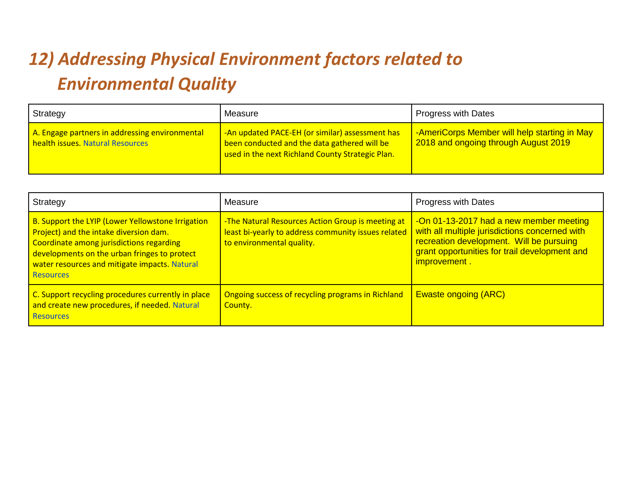# *12) Addressing Physical Environment factors related to Environmental Quality*

| Strategy                                                                           | Measure                                                                                                                                             | <b>Progress with Dates</b>                                                           |
|------------------------------------------------------------------------------------|-----------------------------------------------------------------------------------------------------------------------------------------------------|--------------------------------------------------------------------------------------|
| A. Engage partners in addressing environmental<br>health issues. Natural Resources | -An updated PACE-EH (or similar) assessment has<br>been conducted and the data gathered will be<br>used in the next Richland County Strategic Plan. | -AmeriCorps Member will help starting in May<br>2018 and ongoing through August 2019 |

| Strategy                                                                                                                                                                                                                                                     | Measure                                                                                                                               | <b>Progress with Dates</b>                                                                                                                                                                             |
|--------------------------------------------------------------------------------------------------------------------------------------------------------------------------------------------------------------------------------------------------------------|---------------------------------------------------------------------------------------------------------------------------------------|--------------------------------------------------------------------------------------------------------------------------------------------------------------------------------------------------------|
| B. Support the LYIP (Lower Yellowstone Irrigation<br>Project) and the intake diversion dam.<br>Coordinate among jurisdictions regarding<br>developments on the urban fringes to protect<br>water resources and mitigate impacts. Natural<br><b>Resources</b> | -The Natural Resources Action Group is meeting at<br>least bi-yearly to address community issues related<br>to environmental quality. | -On 01-13-2017 had a new member meeting<br>with all multiple jurisdictions concerned with<br>recreation development. Will be pursuing<br>grant opportunities for trail development and<br>improvement. |
| C. Support recycling procedures currently in place<br>and create new procedures, if needed. Natural<br><b>Resources</b>                                                                                                                                      | Ongoing success of recycling programs in Richland<br>County.                                                                          | <b>Ewaste ongoing (ARC)</b>                                                                                                                                                                            |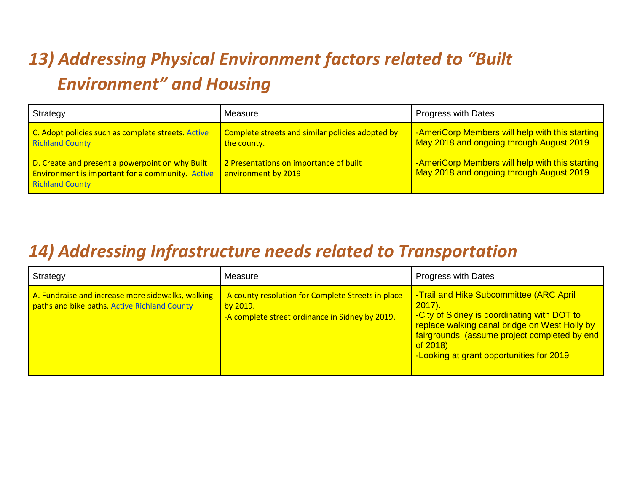# *13) Addressing Physical Environment factors related to "Built Environment" and Housing*

| Strategy                                                                                                                             | Measure                                                         | <b>Progress with Dates</b>                                                                  |
|--------------------------------------------------------------------------------------------------------------------------------------|-----------------------------------------------------------------|---------------------------------------------------------------------------------------------|
| C. Adopt policies such as complete streets. Active<br><b>Richland County</b>                                                         | Complete streets and similar policies adopted by<br>the county. | -AmeriCorp Members will help with this starting<br>May 2018 and ongoing through August 2019 |
| D. Create and present a powerpoint on why Built<br><b>Environment is important for a community.</b> Active<br><b>Richland County</b> | 2 Presentations on importance of built<br>environment by 2019   | -AmeriCorp Members will help with this starting<br>May 2018 and ongoing through August 2019 |

#### *14) Addressing Infrastructure needs related to Transportation*

| Strategy                                                                                          | Measure                                                                                                           | <b>Progress with Dates</b>                                                                                                                                                                                                                                      |
|---------------------------------------------------------------------------------------------------|-------------------------------------------------------------------------------------------------------------------|-----------------------------------------------------------------------------------------------------------------------------------------------------------------------------------------------------------------------------------------------------------------|
| A. Fundraise and increase more sidewalks, walking<br>paths and bike paths. Active Richland County | -A county resolution for Complete Streets in place<br>by 2019.<br>-A complete street ordinance in Sidney by 2019. | -Trail and Hike Subcommittee (ARC April<br>$2017$ ).<br>-City of Sidney is coordinating with DOT to<br>replace walking canal bridge on West Holly by<br>fairgrounds (assume project completed by end<br>of $2018$ )<br>-Looking at grant opportunities for 2019 |